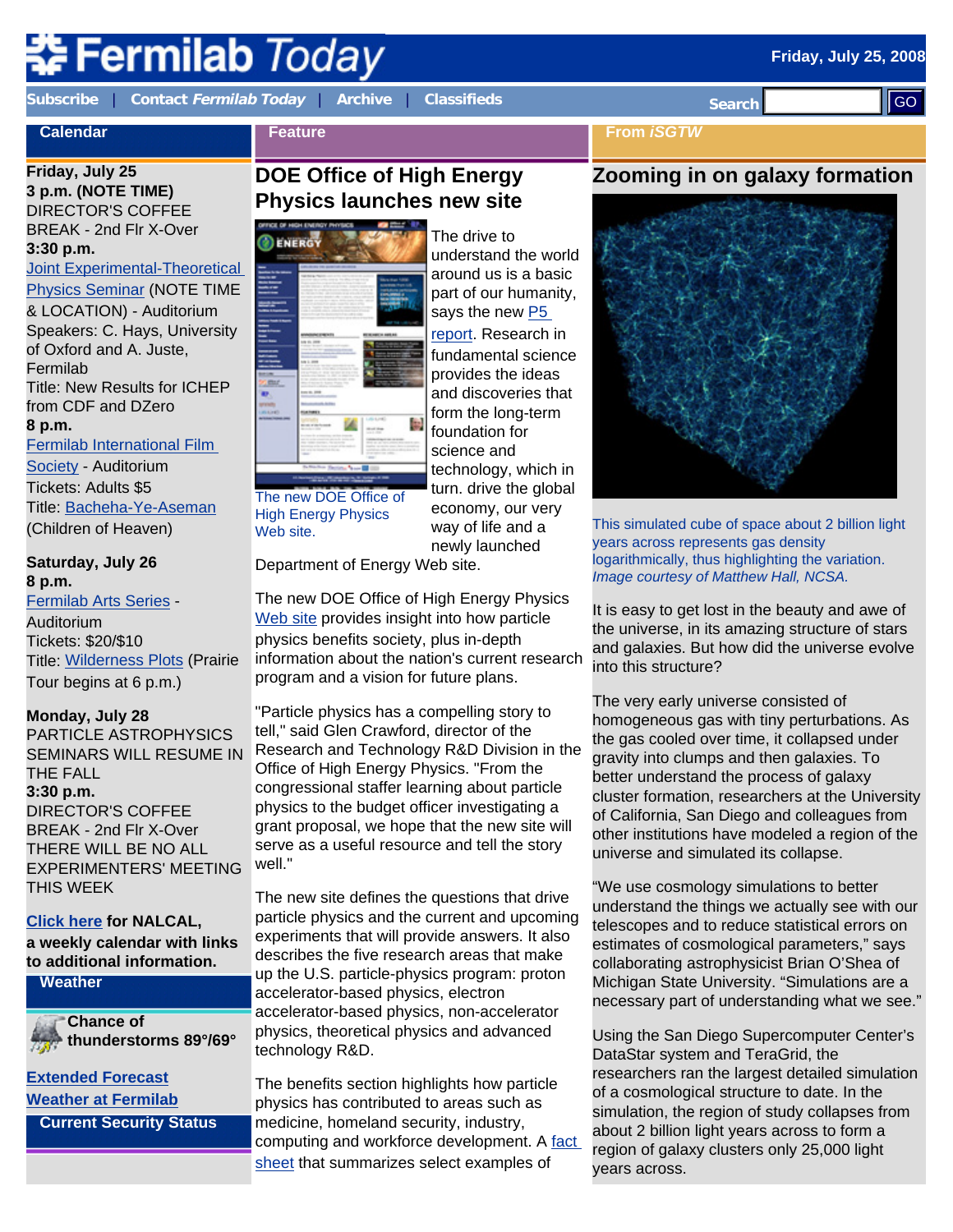# **⊱Fermilab** *Today*

**Calendar**

**[Subscribe](http://www.fnal.gov/pub/today/subscription.html)** | **Contact [Fermilab Today](mailto:today@fnal.gov)** | **[Archive](http://www.fnal.gov/pub/today/archive.html)** | **[Classifieds](http://www.fnal.gov/pub/today/classifieds.html) Search** 

ll GO

**From** *iSGTW*

# **Friday, July 25**

**3 p.m. (NOTE TIME)** DIRECTOR'S COFFEE BREAK - 2nd Flr X-Over **3:30 p.m.**

**Joint Experimental-Theoretical** 

[Physics Seminar](http://theory.fnal.gov/jetp/) (NOTE TIME & LOCATION) - Auditorium Speakers: C. Hays, University of Oxford and A. Juste, Fermilab Title: New Results for ICHEP from CDF and DZero **8 p.m.**

[Fermilab International Film](http://www.fnal.gov/culture/NewArts/Film/films_0809/film_society.shtml) 

[Society](http://www.fnal.gov/culture/NewArts/Film/films_0809/film_society.shtml) - Auditorium Tickets: Adults \$5 Title: [Bacheha-Ye-Aseman](http://www.fnal.gov/culture/NewArts/Film/films_0809/film_descriptions_0809.html#childrenofheaven) (Children of Heaven)

**Saturday, July 26 8 p.m.** 

[Fermilab Arts Series](http://www.fnal.gov/culture/NewArts/Arts/07-08/arts_series.shtml) - Auditorium Tickets: \$20/\$10 Title: [Wilderness Plots](http://www.fnal.gov/culture/NewArts/Arts/07-08/wilderness.shtml) (Prairie Tour begins at 6 p.m.)

# **Monday, July 28**

PARTICLE ASTROPHYSICS SEMINARS WILL RESUME IN THE FALL **3:30 p.m.** DIRECTOR'S COFFEE BREAK - 2nd Flr X-Over THERE WILL BE NO ALL EXPERIMENTERS' MEETING THIS WEEK

## **[Click here](http://www.fnal.gov/directorate/nalcal/nalcal07_21_08.html) for NALCAL,**

**a weekly calendar with links to additional information.**

## **Weather**

**Chance of thunderstorms 89°/69°**

#### **[Extended Forecast](http://forecast.weather.gov/MapClick.php?CityName=Batavia&state=IL&site=LOT&textField1=41.8506&textField2=-88.3004) [Weather at Fermilab](http://www-esh.fnal.gov/pls/default/weather.html)**

**Current Security Status**

# **DOE Office of High Energy Physics launches new site**



The new DOE Office of High Energy Physics Web site.

Department of Energy Web site.

The new DOE Office of High Energy Physics [Web site](http://www.science.doe.gov/hep/index.shtml) provides insight into how particle physics benefits society, plus in-depth information about the nation's current research program and a vision for future plans.

economy, our very way of life and a newly launched

"Particle physics has a compelling story to tell," said Glen Crawford, director of the Research and Technology R&D Division in the Office of High Energy Physics. "From the congressional staffer learning about particle physics to the budget officer investigating a grant proposal, we hope that the new site will serve as a useful resource and tell the story well."

The new site defines the questions that drive particle physics and the current and upcoming experiments that will provide answers. It also describes the five research areas that make up the U.S. particle-physics program: proton accelerator-based physics, electron accelerator-based physics, non-accelerator physics, theoretical physics and advanced technology R&D.

The benefits section highlights how particle physics has contributed to areas such as medicine, homeland security, industry, computing and workforce development. A [fact](http://www.science.doe.gov/hep/files/pdfs/HEP_Benefits_v2.pdf)  [sheet](http://www.science.doe.gov/hep/files/pdfs/HEP_Benefits_v2.pdf) that summarizes select examples of

# **Zooming in on galaxy formation**



This simulated cube of space about 2 billion light years across represents gas density logarithmically, thus highlighting the variation. *Image courtesy of Matthew Hall, NCSA.*

It is easy to get lost in the beauty and awe of the universe, in its amazing structure of stars and galaxies. But how did the universe evolve into this structure?

The very early universe consisted of homogeneous gas with tiny perturbations. As the gas cooled over time, it collapsed under gravity into clumps and then galaxies. To better understand the process of galaxy cluster formation, researchers at the University of California, San Diego and colleagues from other institutions have modeled a region of the universe and simulated its collapse.

"We use cosmology simulations to better understand the things we actually see with our telescopes and to reduce statistical errors on estimates of cosmological parameters," says collaborating astrophysicist Brian O'Shea of Michigan State University. "Simulations are a necessary part of understanding what we see."

Using the San Diego Supercomputer Center's DataStar system and TeraGrid, the researchers ran the largest detailed simulation of a cosmological structure to date. In the simulation, the region of study collapses from about 2 billion light years across to form a region of galaxy clusters only 25,000 light years across.

# ENERGY

**Feature**